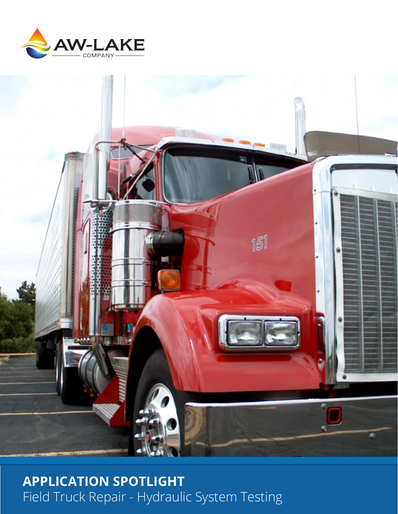



**APPLICATION SPOTLIGHT** Field Truck Repair - Hydraulic System Testing